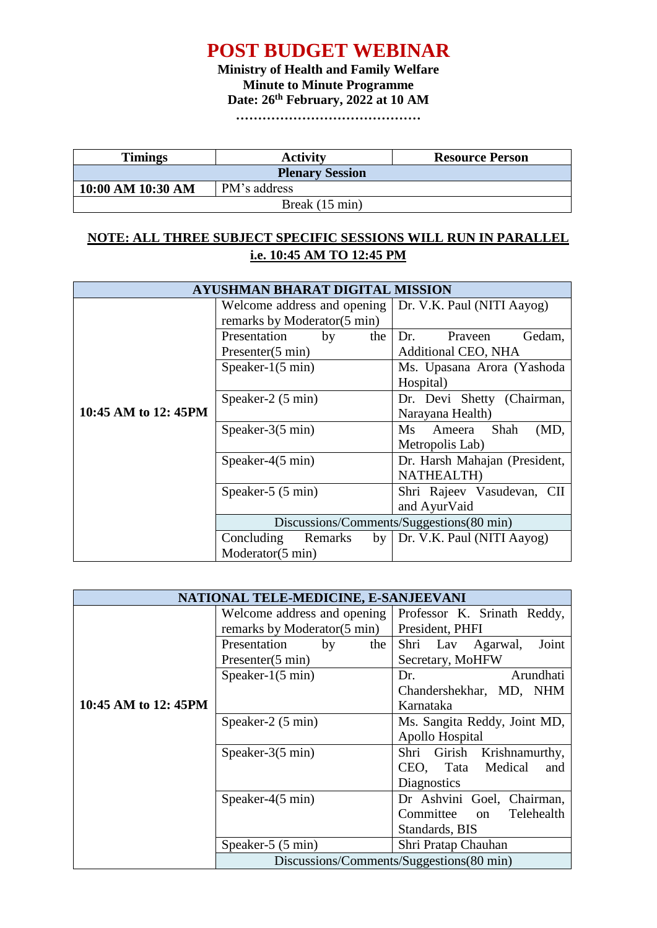## **POST BUDGET WEBINAR**

**Ministry of Health and Family Welfare Minute to Minute Programme Date: 26th February, 2022 at 10 AM**

**……………………………………**

| <b>Timings</b>         | <b>Activity</b> | <b>Resource Person</b> |  |
|------------------------|-----------------|------------------------|--|
| <b>Plenary Session</b> |                 |                        |  |
| 10:00 AM 10:30 AM      | PM's address    |                        |  |
| Break (15 min)         |                 |                        |  |

## **NOTE: ALL THREE SUBJECT SPECIFIC SESSIONS WILL RUN IN PARALLEL i.e. 10:45 AM TO 12:45 PM**

| AYUSHMAN BHARAT DIGITAL MISSION |                                                            |                                          |  |  |
|---------------------------------|------------------------------------------------------------|------------------------------------------|--|--|
|                                 | Welcome address and opening<br>remarks by Moderator(5 min) | Dr. V.K. Paul (NITI Aayog)               |  |  |
|                                 | Presentation<br>the<br>by                                  | Gedam.<br>Dr.<br>Praveen                 |  |  |
|                                 | Presenter(5 min)                                           | <b>Additional CEO, NHA</b>               |  |  |
|                                 | Speaker- $1(5 \text{ min})$                                | Ms. Upasana Arora (Yashoda               |  |  |
|                                 |                                                            | Hospital)                                |  |  |
|                                 | Speaker-2 (5 min)                                          | Dr. Devi Shetty (Chairman,               |  |  |
| 10:45 AM to 12:45PM             |                                                            | Narayana Health)                         |  |  |
|                                 | Speaker- $3(5 \text{ min})$                                | Shah<br>Ms.<br>Ameera<br>(MD,            |  |  |
|                                 |                                                            | Metropolis Lab)                          |  |  |
|                                 | Speaker- $4(5 \text{ min})$                                | Dr. Harsh Mahajan (President,            |  |  |
|                                 |                                                            | <b>NATHEALTH</b> )                       |  |  |
|                                 | Speaker-5 (5 min)                                          | Shri Rajeev Vasudevan, CII               |  |  |
|                                 |                                                            | and AyurVaid                             |  |  |
|                                 |                                                            | Discussions/Comments/Suggestions(80 min) |  |  |
|                                 | Concluding<br>Remarks<br>by                                | Dr. V.K. Paul (NITI Aayog)               |  |  |
|                                 | Moderator(5 min)                                           |                                          |  |  |

| NATIONAL TELE-MEDICINE, E-SANJEEVANI |                                          |                               |  |  |
|--------------------------------------|------------------------------------------|-------------------------------|--|--|
|                                      | Welcome address and opening              | Professor K. Srinath Reddy,   |  |  |
|                                      | remarks by Moderator(5 min)              | President, PHFI               |  |  |
|                                      | Presentation<br>by<br>the                | Joint<br>Shri Lav<br>Agarwal, |  |  |
|                                      | Presenter(5 min)                         | Secretary, MoHFW              |  |  |
|                                      | Speaker- $1(5 \text{ min})$              | Arundhati<br>Dr.              |  |  |
|                                      |                                          | Chandershekhar, MD, NHM       |  |  |
| 10:45 AM to 12:45PM                  |                                          | Karnataka                     |  |  |
|                                      | Speaker-2 (5 min)                        |                               |  |  |
|                                      |                                          | Apollo Hospital               |  |  |
|                                      | Speaker- $3(5 \text{ min})$              | Shri Girish<br>Krishnamurthy, |  |  |
|                                      |                                          | CEO, Tata<br>Medical<br>and   |  |  |
|                                      |                                          | Diagnostics                   |  |  |
|                                      | Speaker- $4(5 \text{ min})$              | Dr Ashvini Goel, Chairman,    |  |  |
|                                      |                                          | Committee on<br>Telehealth    |  |  |
|                                      |                                          | Standards, BIS                |  |  |
|                                      | Speaker-5 (5 min)                        | Shri Pratap Chauhan           |  |  |
|                                      | Discussions/Comments/Suggestions(80 min) |                               |  |  |